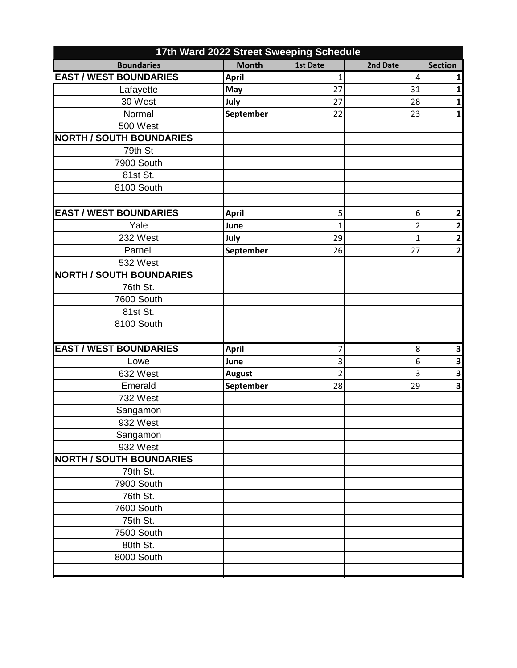|                                 |               | 17th Ward 2022 Street Sweeping Schedule |          |                         |
|---------------------------------|---------------|-----------------------------------------|----------|-------------------------|
| <b>Boundaries</b>               | <b>Month</b>  | 1st Date                                | 2nd Date | <b>Section</b>          |
| <b>EAST / WEST BOUNDARIES</b>   | <b>April</b>  | 1                                       | 4        | 1                       |
| Lafayette                       | May           | 27                                      | 31       | 1                       |
| 30 West                         | July          | 27                                      | 28       | 1                       |
| Normal                          | September     | 22                                      | 23       | 1                       |
| 500 West                        |               |                                         |          |                         |
| <b>NORTH / SOUTH BOUNDARIES</b> |               |                                         |          |                         |
| 79th St                         |               |                                         |          |                         |
| 7900 South                      |               |                                         |          |                         |
| 81st St.                        |               |                                         |          |                         |
| 8100 South                      |               |                                         |          |                         |
|                                 |               |                                         |          |                         |
| <b>EAST / WEST BOUNDARIES</b>   | <b>April</b>  | 5                                       | 6        | $\overline{\mathbf{2}}$ |
| Yale                            | June          | 1                                       | 2        | $\mathbf{2}$            |
| 232 West                        | July          | 29                                      | 1        | $\overline{\mathbf{2}}$ |
| Parnell                         | September     | 26                                      | 27       | $\overline{\mathbf{2}}$ |
| 532 West                        |               |                                         |          |                         |
| <b>NORTH / SOUTH BOUNDARIES</b> |               |                                         |          |                         |
| 76th St.                        |               |                                         |          |                         |
| 7600 South                      |               |                                         |          |                         |
| 81st St.                        |               |                                         |          |                         |
| 8100 South                      |               |                                         |          |                         |
|                                 |               |                                         |          |                         |
| <b>EAST / WEST BOUNDARIES</b>   | <b>April</b>  | 7                                       | 8        | 3                       |
| Lowe                            | June          | 3                                       | 6        | 3                       |
| 632 West                        | <b>August</b> | $\overline{2}$                          | 3        | $\overline{\mathbf{3}}$ |
| Emerald                         | September     | 28                                      | 29       | 3                       |
| 732 West                        |               |                                         |          |                         |
| Sangamon                        |               |                                         |          |                         |
| 932 West                        |               |                                         |          |                         |
| Sangamon                        |               |                                         |          |                         |
| 932 West                        |               |                                         |          |                         |
| <b>NORTH / SOUTH BOUNDARIES</b> |               |                                         |          |                         |
| 79th St.                        |               |                                         |          |                         |
| 7900 South                      |               |                                         |          |                         |
| 76th St.                        |               |                                         |          |                         |
| 7600 South                      |               |                                         |          |                         |
| 75th St.                        |               |                                         |          |                         |
| 7500 South                      |               |                                         |          |                         |
| 80th St.                        |               |                                         |          |                         |
| 8000 South                      |               |                                         |          |                         |
|                                 |               |                                         |          |                         |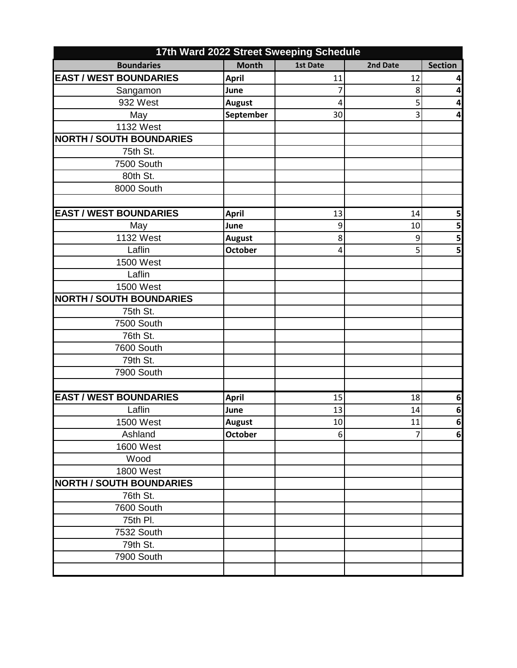| 17th Ward 2022 Street Sweeping Schedule |                |          |          |                |
|-----------------------------------------|----------------|----------|----------|----------------|
| <b>Boundaries</b>                       | <b>Month</b>   | 1st Date | 2nd Date | <b>Section</b> |
| <b>EAST / WEST BOUNDARIES</b>           | <b>April</b>   | 11       | 12       | 4              |
| Sangamon                                | June           | 7        | 8        | 4              |
| 932 West                                | <b>August</b>  | 4        | 5        | 4              |
| May                                     | September      | 30       | 3        | 4              |
| 1132 West                               |                |          |          |                |
| <b>NORTH / SOUTH BOUNDARIES</b>         |                |          |          |                |
| 75th St.                                |                |          |          |                |
| 7500 South                              |                |          |          |                |
| 80th St.                                |                |          |          |                |
| 8000 South                              |                |          |          |                |
|                                         |                |          |          |                |
| <b>EAST / WEST BOUNDARIES</b>           | <b>April</b>   | 13       | 14       | 5              |
| May                                     | June           | 9        | 10       | 5              |
| <b>1132 West</b>                        | <b>August</b>  | 8        | 9        | 5              |
| Laflin                                  | <b>October</b> | 4        | 5        | 5              |
| <b>1500 West</b>                        |                |          |          |                |
| Laflin                                  |                |          |          |                |
| <b>1500 West</b>                        |                |          |          |                |
| <b>NORTH / SOUTH BOUNDARIES</b>         |                |          |          |                |
| 75th St.                                |                |          |          |                |
| 7500 South                              |                |          |          |                |
| 76th St.                                |                |          |          |                |
| 7600 South                              |                |          |          |                |
| 79th St.                                |                |          |          |                |
| 7900 South                              |                |          |          |                |
|                                         |                |          |          |                |
| <b>EAST / WEST BOUNDARIES</b>           | <b>April</b>   | 15       | 18       | 6              |
| Laflin                                  | June           | 13       | 14       | 6              |
| 1500 West                               | <b>August</b>  | 10       | 11       | 6              |
| Ashland                                 | October        | 6        | 7        | $\bf 6$        |
| <b>1600 West</b>                        |                |          |          |                |
| Wood                                    |                |          |          |                |
| <b>1800 West</b>                        |                |          |          |                |
| <b>NORTH / SOUTH BOUNDARIES</b>         |                |          |          |                |
| 76th St.                                |                |          |          |                |
| 7600 South                              |                |          |          |                |
| 75th Pl.                                |                |          |          |                |
| 7532 South                              |                |          |          |                |
| 79th St.                                |                |          |          |                |
| 7900 South                              |                |          |          |                |
|                                         |                |          |          |                |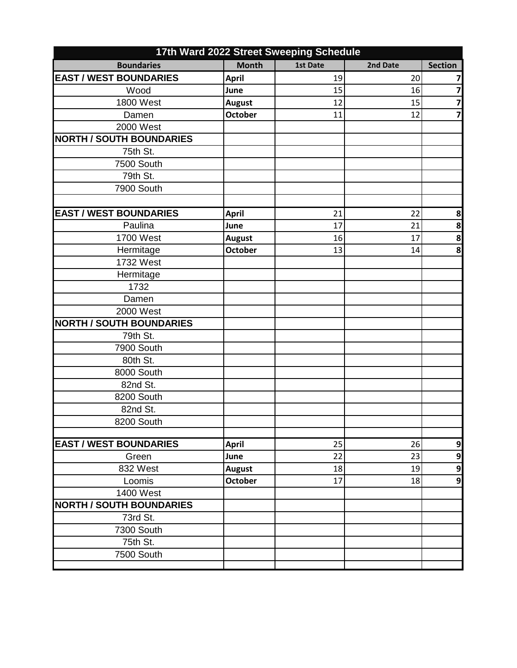|                                 |                | 17th Ward 2022 Street Sweeping Schedule |          |                         |
|---------------------------------|----------------|-----------------------------------------|----------|-------------------------|
| <b>Boundaries</b>               | <b>Month</b>   | 1st Date                                | 2nd Date | <b>Section</b>          |
| <b>EAST / WEST BOUNDARIES</b>   | <b>April</b>   | 19                                      | 20       | 7                       |
| Wood                            | June           | 15                                      | 16       | $\overline{\mathbf{z}}$ |
| <b>1800 West</b>                | <b>August</b>  | 12                                      | 15       | $\overline{\mathbf{z}}$ |
| Damen                           | <b>October</b> | 11                                      | 12       | $\overline{\mathbf{z}}$ |
| 2000 West                       |                |                                         |          |                         |
| <b>NORTH / SOUTH BOUNDARIES</b> |                |                                         |          |                         |
| 75th St.                        |                |                                         |          |                         |
| 7500 South                      |                |                                         |          |                         |
| 79th St.                        |                |                                         |          |                         |
| 7900 South                      |                |                                         |          |                         |
|                                 |                |                                         |          |                         |
| <b>EAST / WEST BOUNDARIES</b>   | <b>April</b>   | 21                                      | 22       | 8                       |
| Paulina                         | June           | 17                                      | 21       | 8                       |
| 1700 West                       | <b>August</b>  | 16                                      | 17       | 8                       |
| Hermitage                       | <b>October</b> | 13                                      | 14       | 8                       |
| 1732 West                       |                |                                         |          |                         |
| Hermitage                       |                |                                         |          |                         |
| 1732                            |                |                                         |          |                         |
| Damen                           |                |                                         |          |                         |
| 2000 West                       |                |                                         |          |                         |
| <b>NORTH / SOUTH BOUNDARIES</b> |                |                                         |          |                         |
| 79th St.                        |                |                                         |          |                         |
| 7900 South                      |                |                                         |          |                         |
| 80th St.                        |                |                                         |          |                         |
| 8000 South                      |                |                                         |          |                         |
| 82nd St.                        |                |                                         |          |                         |
| 8200 South                      |                |                                         |          |                         |
| 82nd St.                        |                |                                         |          |                         |
| 8200 South                      |                |                                         |          |                         |
|                                 |                |                                         |          |                         |
| <b>EAST / WEST BOUNDARIES</b>   | <b>April</b>   | 25                                      | 26       | 9                       |
| Green                           | June           | 22                                      | 23       | 9                       |
| 832 West                        | <b>August</b>  | 18                                      | 19       | 9                       |
| Loomis                          | <b>October</b> | 17                                      | 18       | $\overline{9}$          |
| 1400 West                       |                |                                         |          |                         |
| <b>NORTH / SOUTH BOUNDARIES</b> |                |                                         |          |                         |
| 73rd St.                        |                |                                         |          |                         |
| 7300 South                      |                |                                         |          |                         |
| 75th St.                        |                |                                         |          |                         |
| 7500 South                      |                |                                         |          |                         |
|                                 |                |                                         |          |                         |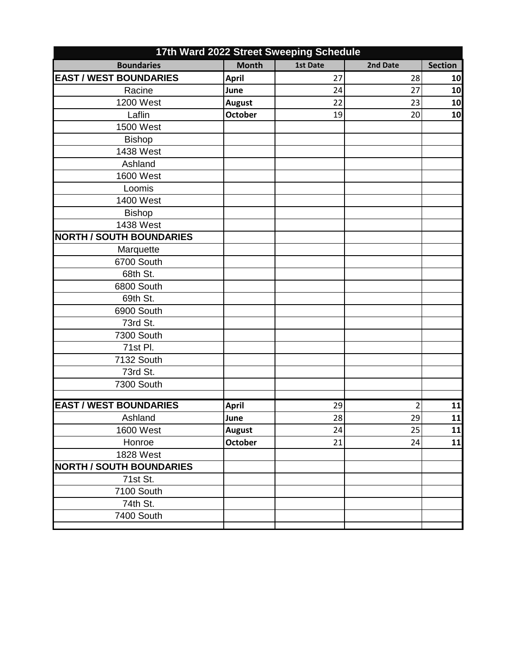| <b>Month</b><br><b>Boundaries</b><br><b>Section</b><br>1st Date<br>2nd Date<br><b>EAST / WEST BOUNDARIES</b><br>28<br><b>April</b><br>27<br>10<br>Racine<br>June<br>27<br>10<br>24<br><b>1200 West</b><br>22<br>23<br>10<br><b>August</b><br>Laflin<br><b>October</b><br>10<br>19<br>20<br>1500 West<br><b>Bishop</b><br>1438 West<br>Ashland<br><b>1600 West</b><br>Loomis<br>1400 West<br><b>Bishop</b><br>1438 West<br><b>NORTH / SOUTH BOUNDARIES</b><br>Marquette<br>6700 South<br>68th St.<br>6800 South<br>69th St.<br>6900 South<br>73rd St.<br>7300 South<br>71st Pl.<br>7132 South<br>73rd St.<br>7300 South<br><b>EAST / WEST BOUNDARIES</b><br>11<br><b>April</b><br>29<br>$\overline{2}$<br>Ashland<br>28<br>29<br>11<br>June<br>1600 West<br>25<br><b>August</b><br>24<br>11<br><b>October</b><br>Honroe<br>21<br>24<br>11<br><b>1828 West</b><br><b>NORTH / SOUTH BOUNDARIES</b><br>71st St.<br>7100 South<br>74th St.<br>7400 South | 17th Ward 2022 Street Sweeping Schedule |  |  |  |  |
|-----------------------------------------------------------------------------------------------------------------------------------------------------------------------------------------------------------------------------------------------------------------------------------------------------------------------------------------------------------------------------------------------------------------------------------------------------------------------------------------------------------------------------------------------------------------------------------------------------------------------------------------------------------------------------------------------------------------------------------------------------------------------------------------------------------------------------------------------------------------------------------------------------------------------------------------------------|-----------------------------------------|--|--|--|--|
|                                                                                                                                                                                                                                                                                                                                                                                                                                                                                                                                                                                                                                                                                                                                                                                                                                                                                                                                                     |                                         |  |  |  |  |
|                                                                                                                                                                                                                                                                                                                                                                                                                                                                                                                                                                                                                                                                                                                                                                                                                                                                                                                                                     |                                         |  |  |  |  |
|                                                                                                                                                                                                                                                                                                                                                                                                                                                                                                                                                                                                                                                                                                                                                                                                                                                                                                                                                     |                                         |  |  |  |  |
|                                                                                                                                                                                                                                                                                                                                                                                                                                                                                                                                                                                                                                                                                                                                                                                                                                                                                                                                                     |                                         |  |  |  |  |
|                                                                                                                                                                                                                                                                                                                                                                                                                                                                                                                                                                                                                                                                                                                                                                                                                                                                                                                                                     |                                         |  |  |  |  |
|                                                                                                                                                                                                                                                                                                                                                                                                                                                                                                                                                                                                                                                                                                                                                                                                                                                                                                                                                     |                                         |  |  |  |  |
|                                                                                                                                                                                                                                                                                                                                                                                                                                                                                                                                                                                                                                                                                                                                                                                                                                                                                                                                                     |                                         |  |  |  |  |
|                                                                                                                                                                                                                                                                                                                                                                                                                                                                                                                                                                                                                                                                                                                                                                                                                                                                                                                                                     |                                         |  |  |  |  |
|                                                                                                                                                                                                                                                                                                                                                                                                                                                                                                                                                                                                                                                                                                                                                                                                                                                                                                                                                     |                                         |  |  |  |  |
|                                                                                                                                                                                                                                                                                                                                                                                                                                                                                                                                                                                                                                                                                                                                                                                                                                                                                                                                                     |                                         |  |  |  |  |
|                                                                                                                                                                                                                                                                                                                                                                                                                                                                                                                                                                                                                                                                                                                                                                                                                                                                                                                                                     |                                         |  |  |  |  |
|                                                                                                                                                                                                                                                                                                                                                                                                                                                                                                                                                                                                                                                                                                                                                                                                                                                                                                                                                     |                                         |  |  |  |  |
|                                                                                                                                                                                                                                                                                                                                                                                                                                                                                                                                                                                                                                                                                                                                                                                                                                                                                                                                                     |                                         |  |  |  |  |
|                                                                                                                                                                                                                                                                                                                                                                                                                                                                                                                                                                                                                                                                                                                                                                                                                                                                                                                                                     |                                         |  |  |  |  |
|                                                                                                                                                                                                                                                                                                                                                                                                                                                                                                                                                                                                                                                                                                                                                                                                                                                                                                                                                     |                                         |  |  |  |  |
|                                                                                                                                                                                                                                                                                                                                                                                                                                                                                                                                                                                                                                                                                                                                                                                                                                                                                                                                                     |                                         |  |  |  |  |
|                                                                                                                                                                                                                                                                                                                                                                                                                                                                                                                                                                                                                                                                                                                                                                                                                                                                                                                                                     |                                         |  |  |  |  |
|                                                                                                                                                                                                                                                                                                                                                                                                                                                                                                                                                                                                                                                                                                                                                                                                                                                                                                                                                     |                                         |  |  |  |  |
|                                                                                                                                                                                                                                                                                                                                                                                                                                                                                                                                                                                                                                                                                                                                                                                                                                                                                                                                                     |                                         |  |  |  |  |
|                                                                                                                                                                                                                                                                                                                                                                                                                                                                                                                                                                                                                                                                                                                                                                                                                                                                                                                                                     |                                         |  |  |  |  |
|                                                                                                                                                                                                                                                                                                                                                                                                                                                                                                                                                                                                                                                                                                                                                                                                                                                                                                                                                     |                                         |  |  |  |  |
|                                                                                                                                                                                                                                                                                                                                                                                                                                                                                                                                                                                                                                                                                                                                                                                                                                                                                                                                                     |                                         |  |  |  |  |
|                                                                                                                                                                                                                                                                                                                                                                                                                                                                                                                                                                                                                                                                                                                                                                                                                                                                                                                                                     |                                         |  |  |  |  |
|                                                                                                                                                                                                                                                                                                                                                                                                                                                                                                                                                                                                                                                                                                                                                                                                                                                                                                                                                     |                                         |  |  |  |  |
|                                                                                                                                                                                                                                                                                                                                                                                                                                                                                                                                                                                                                                                                                                                                                                                                                                                                                                                                                     |                                         |  |  |  |  |
|                                                                                                                                                                                                                                                                                                                                                                                                                                                                                                                                                                                                                                                                                                                                                                                                                                                                                                                                                     |                                         |  |  |  |  |
|                                                                                                                                                                                                                                                                                                                                                                                                                                                                                                                                                                                                                                                                                                                                                                                                                                                                                                                                                     |                                         |  |  |  |  |
|                                                                                                                                                                                                                                                                                                                                                                                                                                                                                                                                                                                                                                                                                                                                                                                                                                                                                                                                                     |                                         |  |  |  |  |
|                                                                                                                                                                                                                                                                                                                                                                                                                                                                                                                                                                                                                                                                                                                                                                                                                                                                                                                                                     |                                         |  |  |  |  |
|                                                                                                                                                                                                                                                                                                                                                                                                                                                                                                                                                                                                                                                                                                                                                                                                                                                                                                                                                     |                                         |  |  |  |  |
|                                                                                                                                                                                                                                                                                                                                                                                                                                                                                                                                                                                                                                                                                                                                                                                                                                                                                                                                                     |                                         |  |  |  |  |
|                                                                                                                                                                                                                                                                                                                                                                                                                                                                                                                                                                                                                                                                                                                                                                                                                                                                                                                                                     |                                         |  |  |  |  |
|                                                                                                                                                                                                                                                                                                                                                                                                                                                                                                                                                                                                                                                                                                                                                                                                                                                                                                                                                     |                                         |  |  |  |  |
|                                                                                                                                                                                                                                                                                                                                                                                                                                                                                                                                                                                                                                                                                                                                                                                                                                                                                                                                                     |                                         |  |  |  |  |
|                                                                                                                                                                                                                                                                                                                                                                                                                                                                                                                                                                                                                                                                                                                                                                                                                                                                                                                                                     |                                         |  |  |  |  |
|                                                                                                                                                                                                                                                                                                                                                                                                                                                                                                                                                                                                                                                                                                                                                                                                                                                                                                                                                     |                                         |  |  |  |  |
|                                                                                                                                                                                                                                                                                                                                                                                                                                                                                                                                                                                                                                                                                                                                                                                                                                                                                                                                                     |                                         |  |  |  |  |
|                                                                                                                                                                                                                                                                                                                                                                                                                                                                                                                                                                                                                                                                                                                                                                                                                                                                                                                                                     |                                         |  |  |  |  |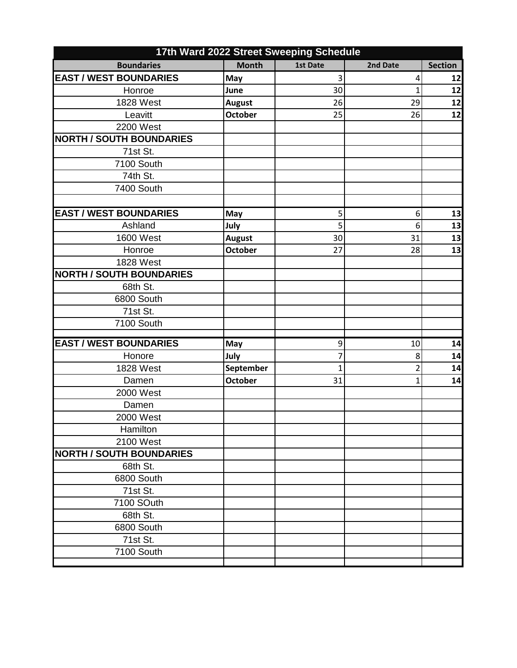|                                 |                | 17th Ward 2022 Street Sweeping Schedule |                |                |
|---------------------------------|----------------|-----------------------------------------|----------------|----------------|
| <b>Boundaries</b>               | <b>Month</b>   | 1st Date                                | 2nd Date       | <b>Section</b> |
| <b>EAST / WEST BOUNDARIES</b>   | May            | 3                                       | 4              | 12             |
| Honroe                          | June           | 30                                      | $\mathbf{1}$   | 12             |
| <b>1828 West</b>                | <b>August</b>  | 26                                      | 29             | 12             |
| Leavitt                         | <b>October</b> | 25                                      | 26             | 12             |
| 2200 West                       |                |                                         |                |                |
| <b>NORTH / SOUTH BOUNDARIES</b> |                |                                         |                |                |
| 71st St.                        |                |                                         |                |                |
| 7100 South                      |                |                                         |                |                |
| 74th St.                        |                |                                         |                |                |
| 7400 South                      |                |                                         |                |                |
|                                 |                |                                         |                |                |
| <b>EAST / WEST BOUNDARIES</b>   | May            | 5                                       | 6              | 13             |
| Ashland                         | July           | 5                                       | 6              | 13             |
| <b>1600 West</b>                | <b>August</b>  | 30                                      | 31             | 13             |
| Honroe                          | <b>October</b> | 27                                      | 28             | 13             |
| 1828 West                       |                |                                         |                |                |
| <b>NORTH / SOUTH BOUNDARIES</b> |                |                                         |                |                |
| 68th St.                        |                |                                         |                |                |
| 6800 South                      |                |                                         |                |                |
| 71st St.                        |                |                                         |                |                |
| 7100 South                      |                |                                         |                |                |
|                                 |                |                                         |                |                |
| <b>EAST / WEST BOUNDARIES</b>   | May            | 9                                       | 10             | 14             |
| Honore                          | July           | 7                                       | 8              | 14             |
| 1828 West                       | September      | 1                                       | $\overline{2}$ | 14             |
| Damen                           | <b>October</b> | 31                                      | $\mathbf{1}$   | 14             |
| 2000 West                       |                |                                         |                |                |
| Damen                           |                |                                         |                |                |
| 2000 West                       |                |                                         |                |                |
| Hamilton                        |                |                                         |                |                |
| 2100 West                       |                |                                         |                |                |
| <b>NORTH / SOUTH BOUNDARIES</b> |                |                                         |                |                |
| 68th St.                        |                |                                         |                |                |
| 6800 South                      |                |                                         |                |                |
| 71st St.                        |                |                                         |                |                |
| 7100 SOuth                      |                |                                         |                |                |
| 68th St.                        |                |                                         |                |                |
| 6800 South                      |                |                                         |                |                |
| 71st St.                        |                |                                         |                |                |
| 7100 South                      |                |                                         |                |                |
|                                 |                |                                         |                |                |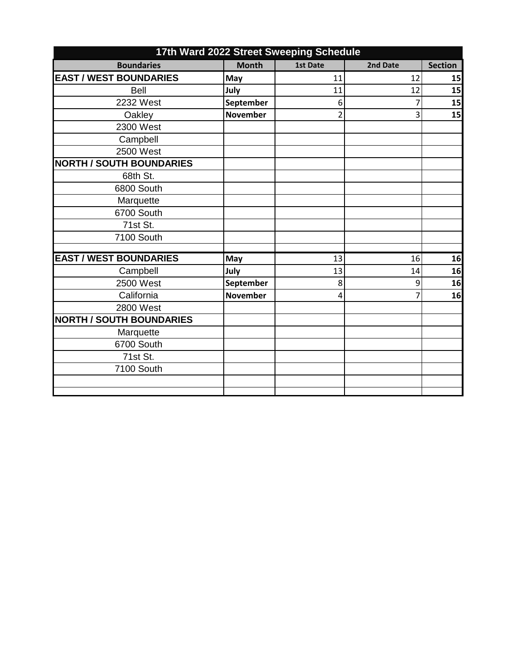| 17th Ward 2022 Street Sweeping Schedule |                 |                 |          |                |
|-----------------------------------------|-----------------|-----------------|----------|----------------|
| <b>Boundaries</b>                       | <b>Month</b>    | <b>1st Date</b> | 2nd Date | <b>Section</b> |
| <b>EAST / WEST BOUNDARIES</b>           | May             | 11              | 12       | 15             |
| <b>Bell</b>                             | July            | 11              | 12       | 15             |
| 2232 West                               | September       | 6               | 7        | 15             |
| Oakley                                  | <b>November</b> | $\overline{2}$  | 3        | 15             |
| 2300 West                               |                 |                 |          |                |
| Campbell                                |                 |                 |          |                |
| 2500 West                               |                 |                 |          |                |
| <b>NORTH / SOUTH BOUNDARIES</b>         |                 |                 |          |                |
| 68th St.                                |                 |                 |          |                |
| 6800 South                              |                 |                 |          |                |
| Marquette                               |                 |                 |          |                |
| 6700 South                              |                 |                 |          |                |
| 71st St.                                |                 |                 |          |                |
| 7100 South                              |                 |                 |          |                |
|                                         |                 |                 |          |                |
| <b>EAST / WEST BOUNDARIES</b>           | May             | 13              | 16       | 16             |
| Campbell                                | July            | 13              | 14       | 16             |
| 2500 West                               | September       | 8               | 9        | 16             |
| California                              | <b>November</b> | 4               | 7        | 16             |
| 2800 West                               |                 |                 |          |                |
| <b>NORTH / SOUTH BOUNDARIES</b>         |                 |                 |          |                |
| Marquette                               |                 |                 |          |                |
| 6700 South                              |                 |                 |          |                |
| 71st St.                                |                 |                 |          |                |
| 7100 South                              |                 |                 |          |                |
|                                         |                 |                 |          |                |
|                                         |                 |                 |          |                |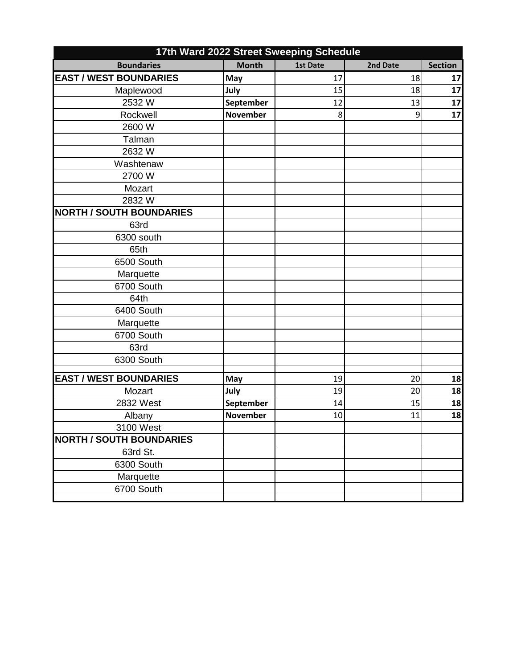| 17th Ward 2022 Street Sweeping Schedule      |                 |          |          |                |
|----------------------------------------------|-----------------|----------|----------|----------------|
| <b>Boundaries</b>                            | <b>Month</b>    | 1st Date | 2nd Date | <b>Section</b> |
| <b>EAST / WEST BOUNDARIES</b>                | May             | 17       | 18       | 17             |
| Maplewood                                    | July            | 15       | 18       | 17             |
| 2532W                                        | September       | 12       | 13       | 17             |
| Rockwell                                     | <b>November</b> | 8        | 9        | 17             |
| 2600 W                                       |                 |          |          |                |
| Talman                                       |                 |          |          |                |
| 2632W                                        |                 |          |          |                |
| Washtenaw                                    |                 |          |          |                |
| 2700 W                                       |                 |          |          |                |
| Mozart                                       |                 |          |          |                |
| 2832W                                        |                 |          |          |                |
| <b>NORTH / SOUTH BOUNDARIES</b>              |                 |          |          |                |
| 63rd                                         |                 |          |          |                |
| 6300 south                                   |                 |          |          |                |
| 65th                                         |                 |          |          |                |
| 6500 South                                   |                 |          |          |                |
| Marquette                                    |                 |          |          |                |
| 6700 South                                   |                 |          |          |                |
| 64th                                         |                 |          |          |                |
| 6400 South                                   |                 |          |          |                |
| Marquette                                    |                 |          |          |                |
| 6700 South                                   |                 |          |          |                |
| 63rd                                         |                 |          |          |                |
| 6300 South                                   |                 |          |          |                |
| <b>EAST / WEST BOUNDARIES</b>                |                 | 19       | 20       |                |
| Mozart                                       | May<br>July     | 19       | 20       | 18<br>18       |
| 2832 West                                    | September       | 14       | 15       | 18             |
| Albany                                       | <b>November</b> | 10       | 11       | 18             |
|                                              |                 |          |          |                |
| 3100 West<br><b>NORTH / SOUTH BOUNDARIES</b> |                 |          |          |                |
| 63rd St.                                     |                 |          |          |                |
| 6300 South                                   |                 |          |          |                |
| Marquette                                    |                 |          |          |                |
| 6700 South                                   |                 |          |          |                |
|                                              |                 |          |          |                |